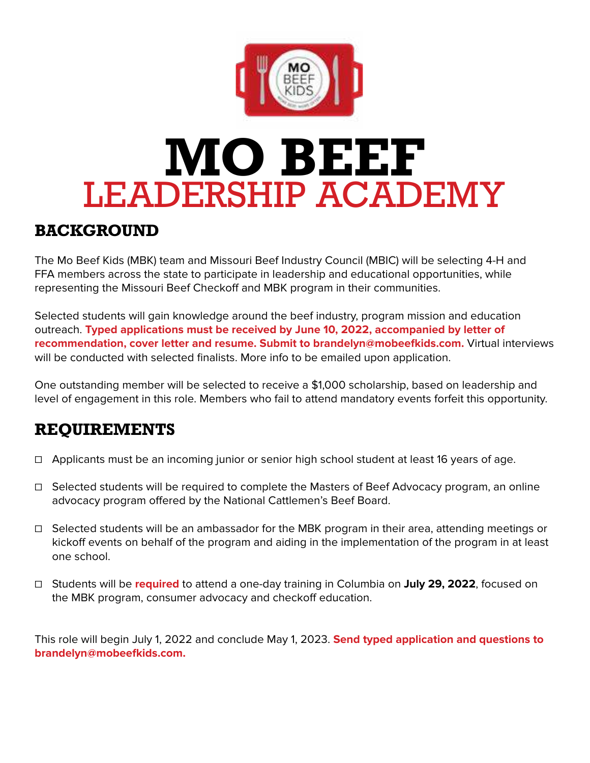

# **MO BEEF** LEADERSHIP ACADEMY

### **BACKGROUND**

The Mo Beef Kids (MBK) team and Missouri Beef Industry Council (MBIC) will be selecting 4-H and FFA members across the state to participate in leadership and educational opportunities, while representing the Missouri Beef Checkoff and MBK program in their communities.

Selected students will gain knowledge around the beef industry, program mission and education outreach. **Typed applications must be received by June 10, 2022, accompanied by letter of recommendation, cover letter and resume. Submit to brandelyn@mobeefkids.com.** Virtual interviews will be conducted with selected finalists. More info to be emailed upon application.

One outstanding member will be selected to receive a \$1,000 scholarship, based on leadership and level of engagement in this role. Members who fail to attend mandatory events forfeit this opportunity.

### **REQUIREMENTS**

- ☐ Applicants must be an incoming junior or senior high school student at least 16 years of age.
- ☐ Selected students will be required to complete the Masters of Beef Advocacy program, an online advocacy program offered by the National Cattlemen's Beef Board.
- ☐ Selected students will be an ambassador for the MBK program in their area, attending meetings or kickoff events on behalf of the program and aiding in the implementation of the program in at least one school.
- ☐ Students will be **required** to attend a one-day training in Columbia on **July 29, 2022**, focused on the MBK program, consumer advocacy and checkoff education.

This role will begin July 1, 2022 and conclude May 1, 2023. **Send typed application and questions to brandelyn@mobeefkids.com.**